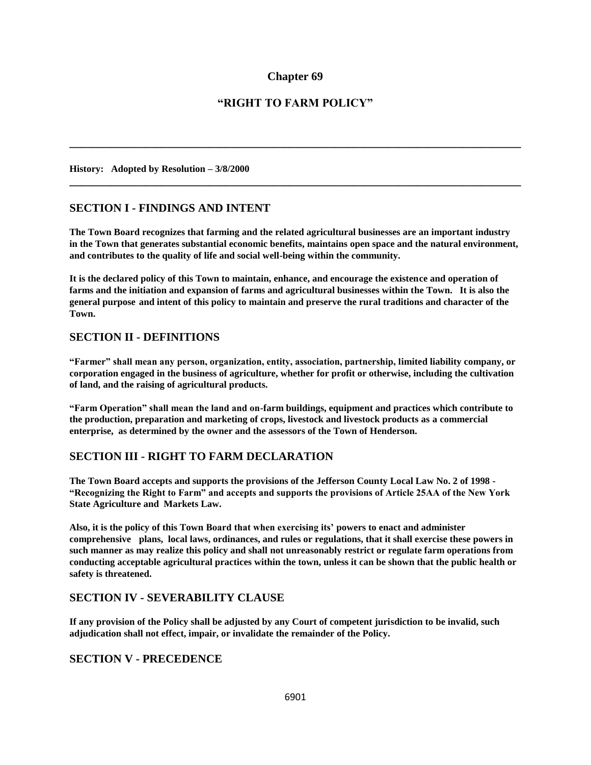## **Chapter 69**

# **"RIGHT TO FARM POLICY"**

**\_\_\_\_\_\_\_\_\_\_\_\_\_\_\_\_\_\_\_\_\_\_\_\_\_\_\_\_\_\_\_\_\_\_\_\_\_\_\_\_\_\_\_\_\_\_\_\_\_\_\_\_\_\_\_\_\_\_\_\_\_\_\_\_\_\_\_\_\_\_\_\_\_\_\_\_\_\_**

**\_\_\_\_\_\_\_\_\_\_\_\_\_\_\_\_\_\_\_\_\_\_\_\_\_\_\_\_\_\_\_\_\_\_\_\_\_\_\_\_\_\_\_\_\_\_\_\_\_\_\_\_\_\_\_\_\_\_\_\_\_\_\_\_\_\_\_\_\_\_\_\_\_\_\_\_\_\_**

**History: Adopted by Resolution – 3/8/2000** 

### **SECTION I - FINDINGS AND INTENT**

**The Town Board recognizes that farming and the related agricultural businesses are an important industry in the Town that generates substantial economic benefits, maintains open space and the natural environment, and contributes to the quality of life and social well-being within the community.**

**It is the declared policy of this Town to maintain, enhance, and encourage the existence and operation of farms and the initiation and expansion of farms and agricultural businesses within the Town. It is also the general purpose and intent of this policy to maintain and preserve the rural traditions and character of the Town.**

### **SECTION II - DEFINITIONS**

**"Farmer" shall mean any person, organization, entity, association, partnership, limited liability company, or corporation engaged in the business of agriculture, whether for profit or otherwise, including the cultivation of land, and the raising of agricultural products.**

**"Farm Operation" shall mean the land and on-farm buildings, equipment and practices which contribute to the production, preparation and marketing of crops, livestock and livestock products as a commercial enterprise, as determined by the owner and the assessors of the Town of Henderson.**

## **SECTION III - RIGHT TO FARM DECLARATION**

**The Town Board accepts and supports the provisions of the Jefferson County Local Law No. 2 of 1998 - "Recognizing the Right to Farm" and accepts and supports the provisions of Article 25AA of the New York State Agriculture and Markets Law.** 

**Also, it is the policy of this Town Board that when exercising its' powers to enact and administer comprehensive plans, local laws, ordinances, and rules or regulations, that it shall exercise these powers in such manner as may realize this policy and shall not unreasonably restrict or regulate farm operations from conducting acceptable agricultural practices within the town, unless it can be shown that the public health or safety is threatened.**

### **SECTION IV - SEVERABILITY CLAUSE**

**If any provision of the Policy shall be adjusted by any Court of competent jurisdiction to be invalid, such adjudication shall not effect, impair, or invalidate the remainder of the Policy.**

### **SECTION V - PRECEDENCE**